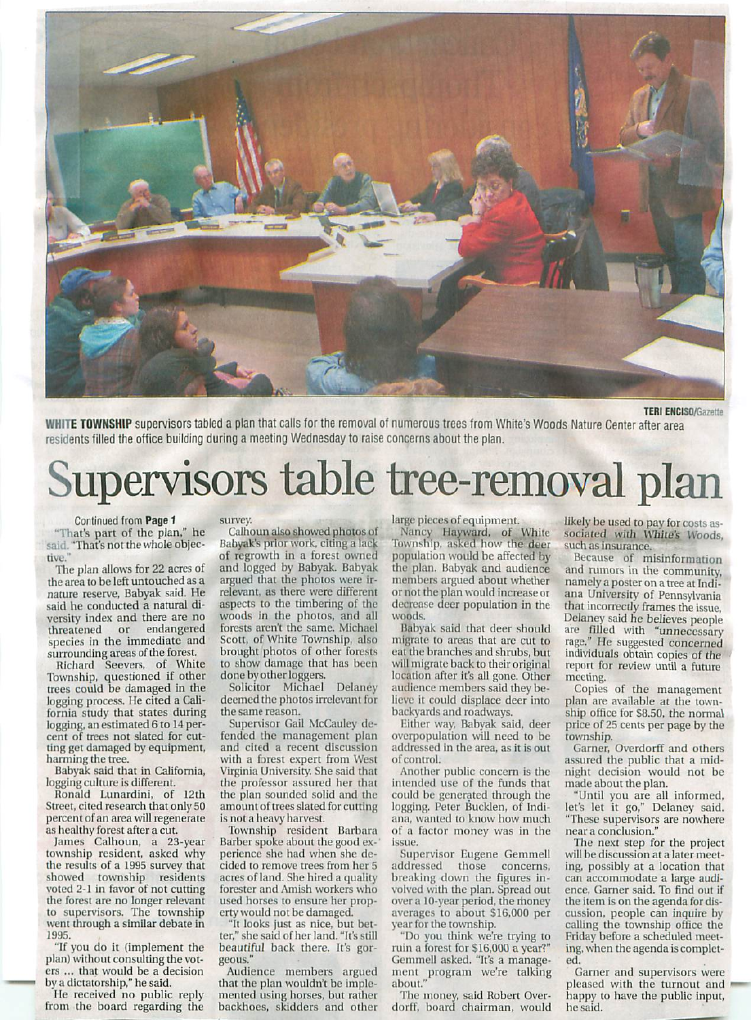

TERI ENCISO/Gazetle

WHITE TOWNSHIP supervisors tabled a plan that calls for the removal of numerous trees from White's Woods Nature Center after area residents filled the office building during a meeting Wednesday to raise concerns about the plan.

## Supervisors table tree-removal plan

Continued from Page 1 "That's part of the plan," he said. "That's not the whole objective.

The pian allows for 22 acres of the area to be left untouched as nature reserve, Babyak said. He said he conducted a natural diversity index and there are no threatened or endangered species in the immediate and surrounding areas of the forest.

Richard Seevers, of White Township, questioned if other trees could be damaged in the logging process. He cited a California study that states during logging, an estimated 6 to 14 percent of trees not slated for cut ting get damaged by equipment, harming the tree.

Babyak said that in California, logging culture is different.

Ronald I.unardini, of 12th Sireet, cited research that only 50 percent of an area will regenerate as healthy forest after a cut.

James Calhoun, a 23-year township resident, asked why the results of a 1995 survey that showed township residents voted 2-1 in favor of not cutting the forest are no longer relevant to supervisors. The township weni ihrough a similar debaie in 1995.

"If you do it (implement the plan) without consulting the vot ers ... that would be a decision by a dictatorship," he said.

He received no public reply from the board regarding ihe

survey.

Calhoun also showed photos of Babyak's prior work, citing a lack of regrowth in a forest owned and logged by Babyak. Babyak argued that the photos were ir relevant, as there were different aspects to the timbering of the woods in the photos, and all forests aren't the same. Michael Scott, of White Township, also brought photos of other forests to show damage that has been done by other loggers.

Solicitor Michael Delaney deemed ihe photos irrelevant for the same reason.

Supervisor Gail McCauley de fended ihe management plan and cited a recent discussion with a forest expert from West Virginia University. She said that the professor assured her that the plan sounded solid and the amount of trees slated for cutting is not a heavy harvest.

Township resident Barbara Barber spoke about the good ex-' perience she had when she decided to remove trees from her acres of land. She hired a quality forester and Amish workers who used horses to ensure her prop erty would not be damaged.

"It looks just as nice, but bet ter," she said of her land. "It's still beautiful back there. It's gor geous."

Audience members argued that the plan wouldn't be implemented using horses, but rather backhoes, skidders and other

large pieces of equipment.

Nancy Hayward, of While flownship, asked how the deer population would be affected by the plan. Babyak and audience members argued about whether or not the plan would increase or decrease deer population in the woods,

Babyak said that deer should migrate to areas that are cut to eat the branches and shrubs, but will migrate back to their original location after it's all gone. Other audience members said they be lieve it could displace deer into backyards and roadways.

Either way, Babyak said, deer overpopulation will need to be addressed in the area, as it is out of control.

Another public concern is the intended use of the funds that could be generated through the logging. Peter Bucklen, of Indiana, wanted to know how much of a Factor money was in the issue.

Supervisor Eugene Gemmell addressed those concerns, breaking down the figures in volved with die plan. Spread out over a 10-year period, the money averages to about \$16,000 per year for the township.

"Do you think we're trying to ruin a forest for \$16,000 a year?" Gemmell asked. "It's a manage ment program we're talking about."

The money, said Robert Overdorff, board chairman, would likely be used to pay for costs as sociated with White's Woods, such as insurance.

Because of misinformation and rumors in the community, namely a poster on a tree at Indiana University of Pennsylvania that incorrectly frames the issue, Delaney said he believes people are filled with "unnecessary rage." He suggested concerned individuals obtain copies of the report for review until a future meeting.

Copies of the management plan are available at the town ship office for S8.50, the normal price of 25 cents per page by the township.

Garner, Overdorff and others assured the public that a mid night decision would not be made about the plan.

"Until you are all informed, let's let it go," Delaney said. "These supervisors are nowhere near conclusion."

The next step for the project will be discussion at a later meeting, possibly at a location that can accommodate a large audience, Garner said. To find out if the item is on the agenda for dis cussion, people can inquire by calling the township office the Friday before a scheduled meeting, when the agenda is complet ed.

Garner and supervisors were pleased with the turnout and happy to have the public input, he said.